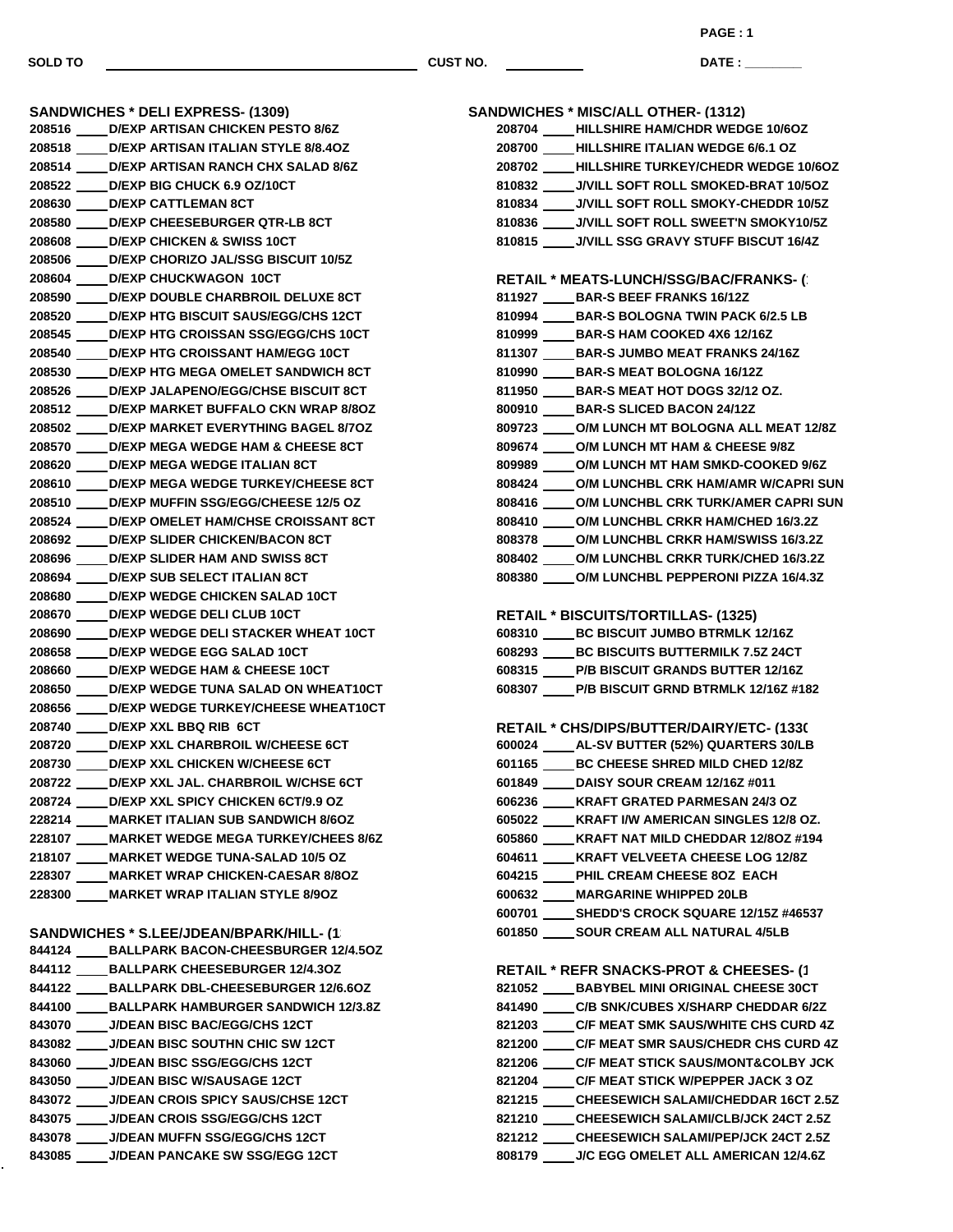**SANDWICHES \* DELI EXPRESS- (1309) D/EXP ARTISAN CHICKEN PESTO 8/6Z D/EXP ARTISAN ITALIAN STYLE 8/8.4OZ D/EXP ARTISAN RANCH CHX SALAD 8/6Z D/EXP BIG CHUCK 6.9 OZ/10CT D/EXP CATTLEMAN 8CT D/EXP CHEESEBURGER QTR-LB 8CT D/EXP CHICKEN & SWISS 10CT D/EXP CHORIZO JAL/SSG BISCUIT 10/5Z D/EXP CHUCKWAGON 10CT D/EXP DOUBLE CHARBROIL DELUXE 8CT D/EXP HTG BISCUIT SAUS/EGG/CHS 12CT D/EXP HTG CROISSAN SSG/EGG/CHS 10CT D/EXP HTG CROISSANT HAM/EGG 10CT D/EXP HTG MEGA OMELET SANDWICH 8CT D/EXP JALAPENO/EGG/CHSE BISCUIT 8CT D/EXP MARKET BUFFALO CKN WRAP 8/8OZ D/EXP MARKET EVERYTHING BAGEL 8/7OZ D/EXP MEGA WEDGE HAM & CHEESE 8CT D/EXP MEGA WEDGE ITALIAN 8CT D/EXP MEGA WEDGE TURKEY/CHEESE 8CT D/EXP MUFFIN SSG/EGG/CHEESE 12/5 OZ D/EXP OMELET HAM/CHSE CROISSANT 8CT D/EXP SLIDER CHICKEN/BACON 8CT D/EXP SLIDER HAM AND SWISS 8CT D/EXP SUB SELECT ITALIAN 8CT D/EXP WEDGE CHICKEN SALAD 10CT D/EXP WEDGE DELI CLUB 10CT D/EXP WEDGE DELI STACKER WHEAT 10CT D/EXP WEDGE EGG SALAD 10CT D/EXP WEDGE HAM & CHEESE 10CT D/EXP WEDGE TUNA SALAD ON WHEAT10CT D/EXP WEDGE TURKEY/CHEESE WHEAT10CT D/EXP XXL BBQ RIB 6CT D/EXP XXL CHARBROIL W/CHEESE 6CT D/EXP XXL CHICKEN W/CHEESE 6CT D/EXP XXL JAL. CHARBROIL W/CHSE 6CT D/EXP XXL SPICY CHICKEN 6CT/9.9 OZ MARKET ITALIAN SUB SANDWICH 8/6OZ MARKET WEDGE MEGA TURKEY/CHEES 8/6Z MARKET WEDGE TUNA-SALAD 10/5 OZ MARKET WRAP CHICKEN-CAESAR 8/8OZ MARKET WRAP ITALIAN STYLE 8/9OZ** SANDWICHES \* S.LEE/JDEAN/RPARK/HILL-11

| UNIU IIUILU U.LLUUDLAIVUI AIIVIILLE II               |
|------------------------------------------------------|
| <b>BALLPARK BACON-CHEESBURGER 12/4.50Z</b><br>844124 |
| 844112<br><b>BALLPARK CHEESEBURGER 12/4.30Z</b>      |
| 844122<br><b>BALLPARK DBL-CHEESEBURGER 12/6.60Z</b>  |
| <b>BALLPARK HAMBURGER SANDWICH 12/3.8Z</b><br>844100 |
| <b>J/DEAN BISC BAC/EGG/CHS 12CT</b><br>843070        |
| <b>J/DEAN BISC SOUTHN CHIC SW 12CT</b><br>843082     |
| 843060            J/DEAN BISC SSG/EGG/CHS 12CT       |
| <b>J/DEAN BISC W/SAUSAGE 12CT</b><br>843050          |
| 843072           J/DEAN CROIS SPICY SAUS/CHSE 12CT   |
| 843075            J/DEAN CROIS SSG/EGG/CHS 12CT      |
| <b>J/DEAN MUFFN SSG/EGG/CHS 12CT</b><br>843078       |
| 843085<br><b>J/DEAN PANCAKE SW SSG/EGG 12CT</b>      |

| <b>SANDWICHES * MISC/ALL OTHER- (1312)</b>          |
|-----------------------------------------------------|
| 208704 ____HILLSHIRE HAM/CHDR WEDGE 10/6OZ          |
| 208700 HILLSHIRE ITALIAN WEDGE 6/6.1 OZ             |
| 208702 ____HILLSHIRE TURKEY/CHEDR WEDGE 10/6OZ      |
| 810832 _____ J/VILL SOFT ROLL SMOKED-BRAT 10/5OZ    |
| 810834 J/VILL SOFT ROLL SMOKY-CHEDDR 10/5Z          |
| 810836 _____ J/VILL SOFT ROLL SWEET'N SMOKY10/5Z    |
| 810815 ____ J/VILL SSG GRAVY STUFF BISCUT 16/4Z     |
| <b>RETAIL * MEATS-LUNCH/SSG/BAC/FRANKS-()</b>       |
| 811927 BAR-S BEEF FRANKS 16/12Z                     |
| 810994 BAR-S BOLOGNA TWIN PACK 6/2.5 LB             |
| 810999 BAR-S HAM COOKED 4X6 12/16Z                  |
| 811307 BAR-S JUMBO MEAT FRANKS 24/16Z               |
| 810990 BAR-S MEAT BOLOGNA 16/12Z                    |
| 811950 _____ BAR-S MEAT HOT DOGS 32/12 OZ.          |
| 800910 BAR-S SLICED BACON 24/12Z                    |
| 809723 _____ O/M LUNCH MT BOLOGNA ALL MEAT 12/8Z    |
| 809674 O/M LUNCH MT HAM & CHEESE 9/8Z               |
| 809989 _____ O/M LUNCH MT HAM SMKD-COOKED 9/6Z      |
| 808424 _____ O/M LUNCHBL CRK HAM/AMR W/CAPRI SUN    |
| 808416 _____ O/M LUNCHBL CRK TURK/AMER CAPRI SUN    |
| 808410 _____ O/M LUNCHBL CRKR HAM/CHED 16/3.2Z      |
| 808378 ____ O/M LUNCHBL CRKR HAM/SWISS 16/3.2Z      |
| 808402 O/M LUNCHBL CRKR TURK/CHED 16/3.2Z           |
| 808380 ____ O/M LUNCHBL PEPPERONI PIZZA 16/4.3Z     |
|                                                     |
| <b>RETAIL * BISCUITS/TORTILLAS- (1325)</b>          |
| 608310 BC BISCUIT JUMBO BTRMLK 12/16Z               |
| 608293 BC BISCUITS BUTTERMILK 7.5Z 24CT             |
| 608315 P/B BISCUIT GRANDS BUTTER 12/16Z             |
| 608307 ____P/B BISCUIT GRND BTRMLK 12/16Z #182      |
| RETAIL * CHS/DIPS/BUTTER/DAIRY/ETC- (1330           |
| 600024 ____AL-SV BUTTER (52%) QUARTERS 30/LB        |
| 601165 _____ BC CHEESE SHRED MILD CHED 12/8Z        |
| 601849 DAISY SOUR CREAM 12/16Z #011                 |
| 606236 ____ KRAFT GRATED PARMESAN 24/3 OZ           |
| 605022 ____ KRAFT I/W AMERICAN SINGLES 12/8 OZ.     |
| 605860 ____ KRAFT NAT MILD CHEDDAR 12/8OZ #194      |
| 604611 KRAFT VELVEETA CHEESE LOG 12/8Z              |
| 604215 ____PHIL CREAM CHEESE 8OZ EACH               |
| 600632 ____ MARGARINE WHIPPED 20LB                  |
| 600701 _____ SHEDD'S CROCK SQUARE 12/15Z #46537     |
| 601850 _____ SOUR CREAM ALL NATURAL 4/5LB           |
|                                                     |
| <b>RETAIL * REFR SNACKS-PROT &amp; CHEESES- (1)</b> |
| 821052 ____ BABYBEL MINI ORIGINAL CHEESE 30CT       |
| 841490 ____C/B SNK/CUBES X/SHARP CHEDDAR 6/2Z       |
| 821203 ____C/F MEAT SMK SAUS/WHITE CHS CURD 4Z      |
| 821200 _____ C/F MEAT SMR SAUS/CHEDR CHS CURD 4Z    |
| 821206 _____ C/F MEAT STICK SAUS/MONT&COLBY JCK     |
| 821204 ____C/F MEAT STICK W/PEPPER JACK 3 OZ        |
| 821215 _____ CHEESEWICH SALAMI/CHEDDAR 16CT 2.5Z    |
| 821210 _____ CHEESEWICH SALAMI/CLB/JCK 24CT 2.5Z    |
| 821212 CHEESEWICH SALAMI/PEP/JCK 24CT 2.5Z          |

**J/C EGG OMELET ALL AMERICAN 12/4.6Z**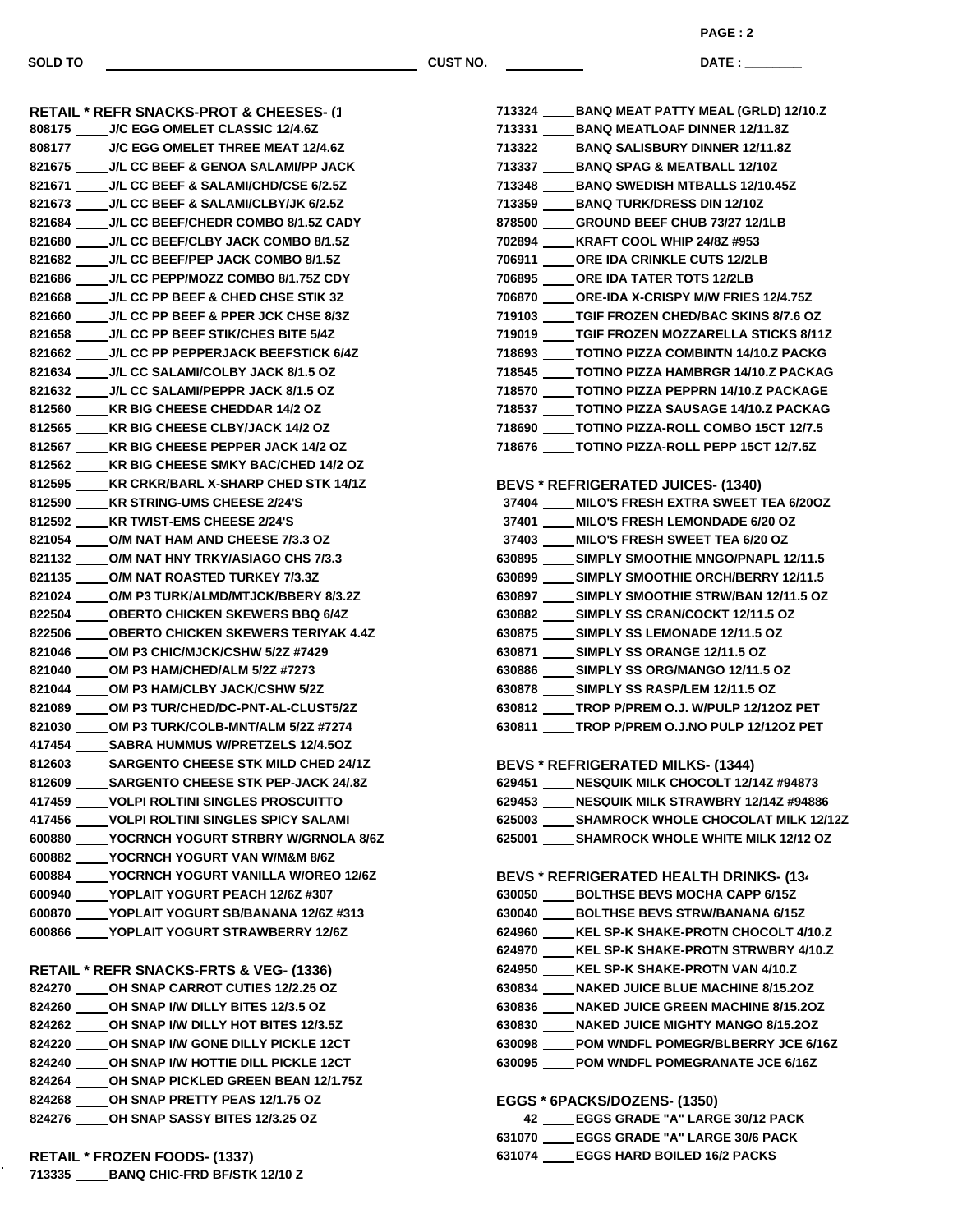**DATE : \_\_\_\_\_\_\_\_\_\_\_\_\_\_\_ PAGE : 2**

 **BANQ MEAT PATTY MEAL (GRLD) 12/10.Z BANQ MEATLOAF DINNER 12/11.8Z BANQ SALISBURY DINNER 12/11.8Z BANQ SPAG & MEATBALL 12/10Z BANQ SWEDISH MTBALLS 12/10.45Z BANQ TURK/DRESS DIN 12/10Z GROUND BEEF CHUB 73/27 12/1LB KRAFT COOL WHIP 24/8Z #953 ORE IDA CRINKLE CUTS 12/2LB**

 **J/C EGG OMELET CLASSIC 12/4.6Z J/C EGG OMELET THREE MEAT 12/4.6Z J/L CC BEEF & GENOA SALAMI/PP JACK J/L CC BEEF & SALAMI/CHD/CSE 6/2.5Z J/L CC BEEF & SALAMI/CLBY/JK 6/2.5Z J/L CC BEEF/CHEDR COMBO 8/1.5Z CADY J/L CC BEEF/CLBY JACK COMBO 8/1.5Z J/L CC BEEF/PEP JACK COMBO 8/1.5Z J/L CC PEPP/MOZZ COMBO 8/1.75Z CDY J/L CC PP BEEF & CHED CHSE STIK 3Z J/L CC PP BEEF & PPER JCK CHSE 8/3Z J/L CC PP BEEF STIK/CHES BITE 5/4Z J/L CC PP PEPPERJACK BEEFSTICK 6/4Z J/L CC SALAMI/COLBY JACK 8/1.5 OZ J/L CC SALAMI/PEPPR JACK 8/1.5 OZ KR BIG CHEESE CHEDDAR 14/2 OZ KR BIG CHEESE CLBY/JACK 14/2 OZ KR BIG CHEESE PEPPER JACK 14/2 OZ KR BIG CHEESE SMKY BAC/CHED 14/2 OZ KR CRKR/BARL X-SHARP CHED STK 14/1Z KR STRING-UMS CHEESE 2/24'S KR TWIST-EMS CHEESE 2/24'S O/M NAT HAM AND CHEESE 7/3.3 OZ O/M NAT HNY TRKY/ASIAGO CHS 7/3.3 O/M NAT ROASTED TURKEY 7/3.3Z O/M P3 TURK/ALMD/MTJCK/BBERY 8/3.2Z OBERTO CHICKEN SKEWERS BBQ 6/4Z OBERTO CHICKEN SKEWERS TERIYAK 4.4Z OM P3 CHIC/MJCK/CSHW 5/2Z #7429 OM P3 HAM/CHED/ALM 5/2Z #7273 OM P3 HAM/CLBY JACK/CSHW 5/2Z OM P3 TUR/CHED/DC-PNT-AL-CLUST5/2Z OM P3 TURK/COLB-MNT/ALM 5/2Z #7274 SABRA HUMMUS W/PRETZELS 12/4.5OZ SARGENTO CHEESE STK MILD CHED 24/1Z SARGENTO CHEESE STK PEP-JACK 24/.8Z VOLPI ROLTINI SINGLES PROSCUITTO VOLPI ROLTINI SINGLES SPICY SALAMI YOCRNCH YOGURT STRBRY W/GRNOLA 8/6Z YOCRNCH YOGURT VAN W/M&M 8/6Z YOCRNCH YOGURT VANILLA W/OREO 12/6Z YOPLAIT YOGURT PEACH 12/6Z #307 YOPLAIT YOGURT SB/BANANA 12/6Z #313 YOPLAIT YOGURT STRAWBERRY 12/6Z RETAIL \* REFR SNACKS-FRTS & VEG- (1336) OH SNAP CARROT CUTIES 12/2.25 OZ OH SNAP I/W DILLY BITES 12/3.5 OZ OH SNAP I/W DILLY HOT BITES 12/3.5Z OH SNAP I/W GONE DILLY PICKLE 12CT OH SNAP I/W HOTTIE DILL PICKLE 12CT OH SNAP PICKLED GREEN BEAN 12/1.75Z OH SNAP PRETTY PEAS 12/1.75 OZ**

**RETAIL \* REFR SNACKS-PROT & CHEESES- (1335)**

| 706895 _____ ORE IDA TATER TOTS 12/2LB           |
|--------------------------------------------------|
| 706870 _____ ORE-IDA X-CRISPY M/W FRIES 12/4.75Z |
| 719103 _____ TGIF FROZEN CHED/BAC SKINS 8/7.6 OZ |
| 719019 ____TGIF FROZEN MOZZARELLA STICKS 8/11Z   |
| 718693 ____TOTINO PIZZA COMBINTN 14/10.Z PACKG   |
| 718545 ____TOTINO PIZZA HAMBRGR 14/10.Z PACKAG   |
| 718570 ____ TOTINO PIZZA PEPPRN 14/10.Z PACKAGE  |
| 718537 _____ TOTINO PIZZA SAUSAGE 14/10.Z PACKAG |
| 718690 _____ TOTINO PIZZA-ROLL COMBO 15CT 12/7.5 |
| 718676 _____ TOTINO PIZZA-ROLL PEPP 15CT 12/7.5Z |
|                                                  |
| <b>BEVS * REFRIGERATED JUICES- (1340)</b>        |
| 37404 ____ MILO'S FRESH EXTRA SWEET TEA 6/200Z   |
| 37401 ____ MILO'S FRESH LEMONDADE 6/20 OZ        |
| 37403 ____ MILO'S FRESH SWEET TEA 6/20 OZ        |
| 630895 _____ SIMPLY SMOOTHIE MNGO/PNAPL 12/11.5  |
| 630899 _____ SIMPLY SMOOTHIE ORCH/BERRY 12/11.5  |
|                                                  |
| 630897 _____ SIMPLY SMOOTHIE STRW/BAN 12/11.5 OZ |
| 630882 _____ SIMPLY SS CRAN/COCKT 12/11.5 OZ     |
| 630875 _____ SIMPLY SS LEMONADE 12/11.5 OZ       |
| 630871 _____ SIMPLY SS ORANGE 12/11.5 OZ         |
| 630886 _____ SIMPLY SS ORG/MANGO 12/11.5 OZ      |
| 630878 _____ SIMPLY SS RASP/LEM 12/11.5 OZ       |
| 630812 _____ TROP P/PREM O.J. W/PULP 12/12OZ PET |
| 630811 _____ TROP P/PREM O.J.NO PULP 12/120Z PET |
|                                                  |
| <b>BEVS * REFRIGERATED MILKS- (1344)</b>         |
| 629451 ____ NESQUIK MILK CHOCOLT 12/14Z #94873   |
| 629453 ____ NESQUIK MILK STRAWBRY 12/14Z #94886  |
| 625003 _____ SHAMROCK WHOLE CHOCOLAT MILK 12/12Z |
| 625001 _____ SHAMROCK WHOLE WHITE MILK 12/12 OZ  |
|                                                  |
| <b>BEVS * REFRIGERATED HEALTH DRINKS- (13)</b>   |
| 630050 _____ BOLTHSE BEVS MOCHA CAPP 6/15Z       |
| 630040 _____ BOLTHSE BEVS STRW/BANANA 6/15Z      |
| 624960 ____ KEL SP-K SHAKE-PROTN CHOCOLT 4/10.Z  |
| 624970 ____ KEL SP-K SHAKE-PROTN STRWBRY 4/10.Z  |
| KEL SP-K SHAKE-PROTN VAN 4/10.Z<br>624950        |
| 630834 ____ NAKED JUICE BLUE MACHINE 8/15.2OZ    |
| 630836 ____ NAKED JUICE GREEN MACHINE 8/15.2OZ   |
| 630830 NAKED JUICE MIGHTY MANGO 8/15.20Z         |
| 630098 _____POM WNDFL POMEGR/BLBERRY JCE 6/16Z   |
| 630095 _____ POM WNDFL POMEGRANATE JCE 6/16Z     |
|                                                  |
| EGGS * 6PACKS/DOZENS- (1350)                     |
| 42 EGGS GRADE "A" LARGE 30/12 PACK               |
| 631070 _____ EGGS GRADE "A" LARGE 30/6 PACK      |
| 631074 _____ EGGS HARD BOILED 16/2 PACKS         |
|                                                  |
|                                                  |
|                                                  |
|                                                  |
|                                                  |
|                                                  |

**RETAIL \* FROZEN FOODS- (1337) BANQ CHIC-FRD BF/STK 12/10 Z**

**OH SNAP SASSY BITES 12/3.25 OZ**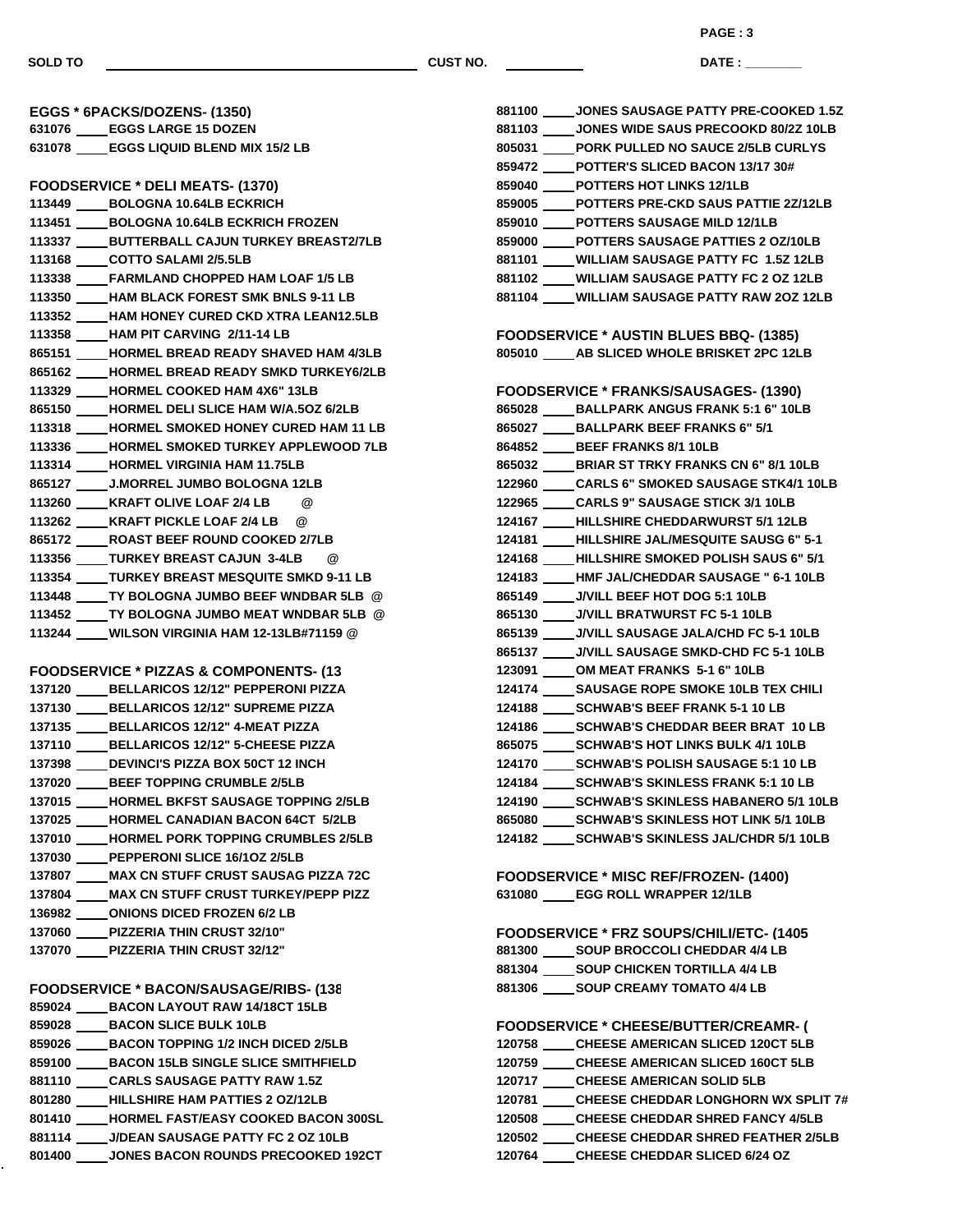**PAGE : 3**

**DATE : \_\_\_\_\_\_\_\_\_\_\_\_\_\_\_**

| EGGS * 6PACKS/DOZENS- (1350)                       |
|----------------------------------------------------|
| 631076 EGGS LARGE 15 DOZEN                         |
| 631078 _____ EGGS LIQUID BLEND MIX 15/2 LB         |
|                                                    |
| <b>FOODSERVICE * DELI MEATS- (1370)</b>            |
| 113449 _____ BOLOGNA 10.64LB ECKRICH               |
| 113451 BOLOGNA 10.64LB ECKRICH FROZEN              |
| 113337 _____ BUTTERBALL CAJUN TURKEY BREAST2/7LB   |
| 113168 _____ COTTO SALAMI 2/5.5LB                  |
| 113338 _____ FARMLAND CHOPPED HAM LOAF 1/5 LB      |
| 113350 _____ HAM BLACK FOREST SMK BNLS 9-11 LB     |
| 113352 ____ HAM HONEY CURED CKD XTRA LEAN12.5LB    |
| 113358 _____HAM PIT CARVING 2/11-14 LB             |
| 865151 ____ HORMEL BREAD READY SHAVED HAM 4/3LB    |
| 865162 ____ HORMEL BREAD READY SMKD TURKEY6/2LB    |
| 113329 _____ HORMEL COOKED HAM 4X6" 13LB           |
| 865150 ____ HORMEL DELI SLICE HAM W/A.5OZ 6/2LB    |
| 113318 _____ HORMEL SMOKED HONEY CURED HAM 11 LB   |
| 113336 _____ HORMEL SMOKED TURKEY APPLEWOOD 7LB    |
| 113314 _____ HORMEL VIRGINIA HAM 11.75LB           |
| 865127 _____ J.MORREL JUMBO BOLOGNA 12LB           |
| 113260 ____ KRAFT OLIVE LOAF 2/4 LB @              |
| 113262 ____ KRAFT PICKLE LOAF 2/4 LB @             |
| 865172 _____ ROAST BEEF ROUND COOKED 2/7LB         |
| 113356 _____ TURKEY BREAST CAJUN 3-4LB @           |
| 113354 _____ TURKEY BREAST MESQUITE SMKD 9-11 LB   |
| 113448 _____ TY BOLOGNA JUMBO BEEF WNDBAR 5LB @    |
| 113452 _____ TY BOLOGNA JUMBO MEAT WNDBAR 5LB @    |
| 113244 ____WILSON VIRGINIA HAM 12-13LB#71159 @     |
|                                                    |
|                                                    |
|                                                    |
| <b>FOODSERVICE * PIZZAS &amp; COMPONENTS- (13)</b> |
| 137120 BELLARICOS 12/12" PEPPERONI PIZZA           |
| 137130 BELLARICOS 12/12" SUPREME PIZZA             |
| 137135 _____ BELLARICOS 12/12" 4-MEAT PIZZA        |
| 137110 _____ BELLARICOS 12/12" 5-CHEESE PIZZA      |
| 137398 DEVINCI'S PIZZA BOX 50CT 12 INCH            |
| 137020 BEEF TOPPING CRUMBLE 2/5LB                  |
| 137015 HORMEL BKFST SAUSAGE TOPPING 2/5LB          |
| 137025 HORMEL CANADIAN BACON 64CT 5/2LB            |
| 137010 HORMEL PORK TOPPING CRUMBLES 2/5LB          |
| 137030 PEPPERONI SLICE 16/10Z 2/5LB                |
| 137807 ____ MAX CN STUFF CRUST SAUSAG PIZZA 72C    |
| 137804 ____ MAX CN STUFF CRUST TURKEY/PEPP PIZZ    |
| 136982 ONIONS DICED FROZEN 6/2 LB                  |
| 137060 PIZZERIA THIN CRUST 32/10"                  |
| 137070 PIZZERIA THIN CRUST 32/12"                  |
|                                                    |
| <b>FOODSERVICE * BACON/SAUSAGE/RIBS- (138</b>      |
| 859024 _____ BACON LAYOUT RAW 14/18CT 15LB         |
| 859028 BACON SLICE BULK 10LB                       |
| 859026 BACON TOPPING 1/2 INCH DICED 2/5LB          |
| 859100 BACON 15LB SINGLE SLICE SMITHFIELD          |
| 881110 CARLS SAUSAGE PATTY RAW 1.5Z                |
| 801280 ____HILLSHIRE HAM PATTIES 2 OZ/12LB         |
| 801410 HORMEL FAST/EASY COOKED BACON 300SL         |
| 881114 J/DEAN SAUSAGE PATTY FC 2 OZ 10LB           |

|        | 881100 JONES SAUSAGE PATTY PRE-COOKED 1.5Z       |
|--------|--------------------------------------------------|
|        | 881103 JONES WIDE SAUS PRECOOKD 80/2Z 10LB       |
| 805031 | <b>PORK PULLED NO SAUCE 2/5LB CURLYS</b>         |
| 859472 | <b>POTTER'S SLICED BACON 13/17 30#</b>           |
| 859040 | <b>POTTERS HOT LINKS 12/1LB</b>                  |
| 859005 | <b>POTTERS PRE-CKD SAUS PATTIE 2Z/12LB</b>       |
|        | 859010 POTTERS SAUSAGE MILD 12/1LB               |
| 859000 | <b>POTTERS SAUSAGE PATTIES 2 OZ/10LB</b>         |
| 881101 | <b>WILLIAM SAUSAGE PATTY FC 1.5Z 12LB</b>        |
|        | 881102 WILLIAM SAUSAGE PATTY FC 2 OZ 12LB        |
|        | 881104 WILLIAM SAUSAGE PATTY RAW 20Z 12LB        |
|        |                                                  |
|        | <b>FOODSERVICE * AUSTIN BLUES BBQ- (1385)</b>    |
|        | 805010 AB SLICED WHOLE BRISKET 2PC 12LB          |
|        |                                                  |
|        | FOODSERVICE * FRANKS/SAUSAGES- (1390)            |
|        | 865028 BALLPARK ANGUS FRANK 5:1 6" 10LB          |
|        | 865027 BALLPARK BEEF FRANKS 6" 5/1               |
|        | 864852 BEEF FRANKS 8/1 10LB                      |
|        | 865032 BRIAR ST TRKY FRANKS CN 6" 8/1 10LB       |
|        | 122960 CARLS 6" SMOKED SAUSAGE STK4/1 10LB       |
| 122965 | <b>CARLS 9" SAUSAGE STICK 3/1 10LB</b>           |
| 124167 | <b>HILLSHIRE CHEDDARWURST 5/1 12LB</b>           |
| 124181 | HILLSHIRE JAL/MESQUITE SAUSG 6" 5-1              |
|        | 124168 HILLSHIRE SMOKED POLISH SAUS 6" 5/1       |
|        | 124183 HMF JAL/CHEDDAR SAUSAGE " 6-1 10LB        |
|        | 865149 J/VILL BEEF HOT DOG 5:1 10LB              |
|        | 865130 J/VILL BRATWURST FC 5-1 10LB              |
|        | 865139 J/VILL SAUSAGE JALA/CHD FC 5-1 10LB       |
| 865137 | <b>J/VILL SAUSAGE SMKD-CHD FC 5-1 10LB</b>       |
| 123091 | OM MEAT FRANKS 5-1 6" 10LB                       |
| 124174 | <b>SAUSAGE ROPE SMOKE 10LB TEX CHILI</b>         |
|        | 124188 SCHWAB'S BEEF FRANK 5-1 10 LB             |
|        | 124186 SCHWAB'S CHEDDAR BEER BRAT 10 LB          |
|        | 865075 SCHWAB'S HOT LINKS BULK 4/1 10LB          |
| 124170 | SCHWAB'S POLISH SAUSAGE 5:1 10 LB                |
| 124184 | <b>SCHWAB'S SKINLESS FRANK 5:1 10 LB</b>         |
|        | 124190 _____ SCHWAB'S SKINLESS HABANERO 5/1 10LB |
|        | 865080 _____ SCHWAB'S SKINLESS HOT LINK 5/1 10LB |
|        | 124182 _____ SCHWAB'S SKINLESS JAL/CHDR 5/1 10LB |
|        |                                                  |
|        | FOODSERVICE * MISC REF/FROZEN- (1400)            |
|        | 631080 EGG ROLL WRAPPER 12/1LB                   |
|        |                                                  |
|        | FOODSERVICE * FRZ SOUPS/CHILI/ETC- (1405         |
|        | 881300 _____ SOUP BROCCOLI CHEDDAR 4/4 LB        |
|        | 881304 _____ SOUP CHICKEN TORTILLA 4/4 LB        |
|        | 881306 ______ SOUP CREAMY TOMATO 4/4 LB          |

# **FOODSERVICE \* CHEESE/BUTTER/CREAMR- (1410)**

| 120758 | <b>CHEESE AMERICAN SLICED 120CT 5LB</b>    |
|--------|--------------------------------------------|
| 120759 | <b>CHEESE AMERICAN SLICED 160CT 5LB</b>    |
| 120717 | <b>CHEESE AMERICAN SOLID 5LB</b>           |
| 120781 | <b>CHEESE CHEDDAR LONGHORN WX SPLIT 7#</b> |
| 120508 | <b>CHEESE CHEDDAR SHRED FANCY 4/5LB</b>    |
| 120502 | <b>CHEESE CHEDDAR SHRED FEATHER 2/5LB</b>  |
| 120764 | <b>CHEESE CHEDDAR SLICED 6/24 OZ</b>       |
|        |                                            |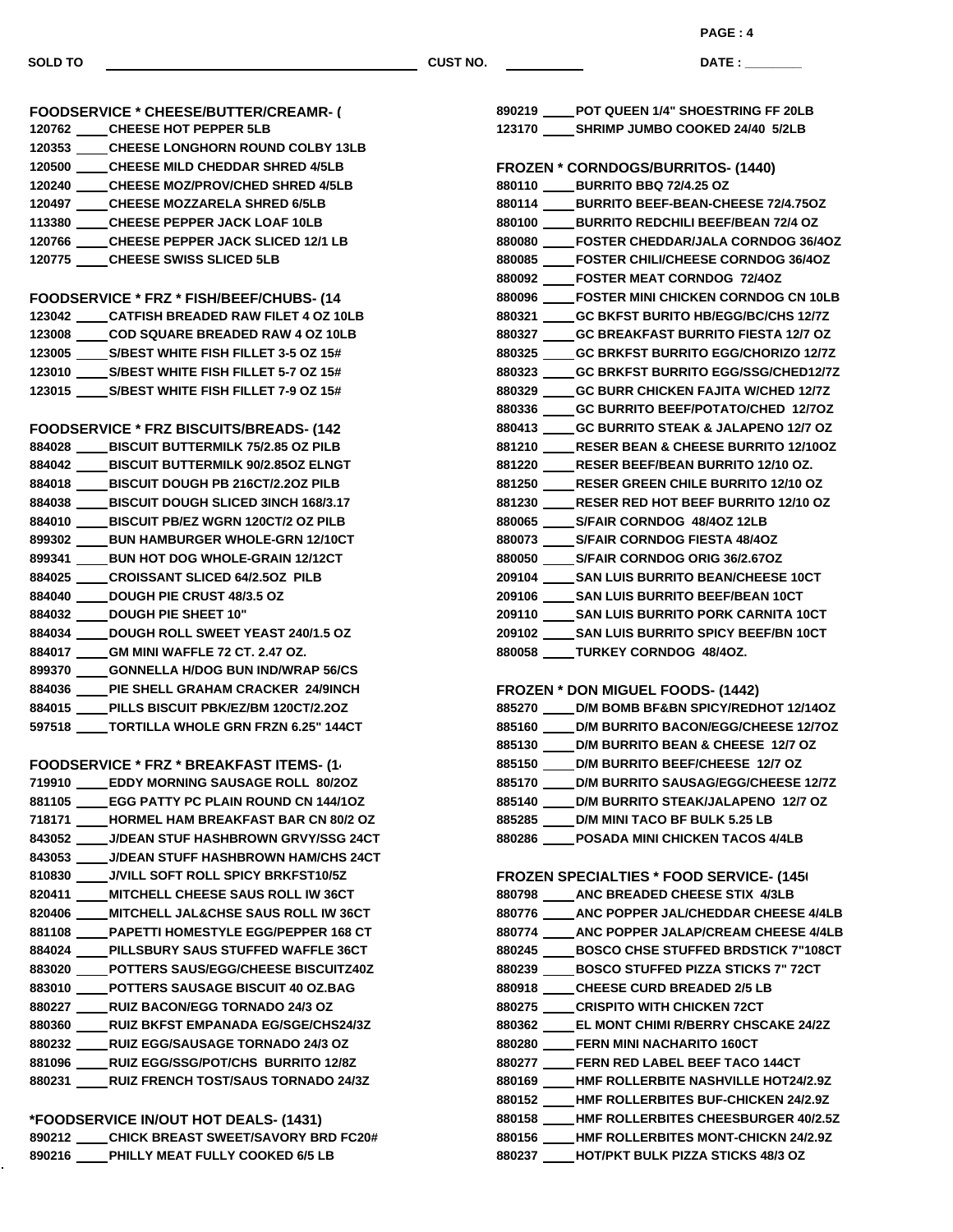**DATE : \_\_\_\_\_\_\_\_\_\_\_\_\_\_\_**

| <b>FOODSERVICE * CHEESE/BUTTER/CREAMR- (</b>                                                  |
|-----------------------------------------------------------------------------------------------|
| 120762 ____CHEESE HOT PEPPER 5LB                                                              |
| 120353 ____CHEESE LONGHORN ROUND COLBY 13LB                                                   |
| 120500 _____ CHEESE MILD CHEDDAR SHRED 4/5LB                                                  |
| 120240 CHEESE MOZ/PROV/CHED SHRED 4/5LB                                                       |
| 120497 CHEESE MOZZARELA SHRED 6/5LB                                                           |
| 113380 ____CHEESE PEPPER JACK LOAF 10LB                                                       |
| 120766 CHEESE PEPPER JACK SLICED 12/1 LB                                                      |
| 120775 _____ CHEESE SWISS SLICED 5LB                                                          |
|                                                                                               |
| FOODSERVICE * FRZ * FISH/BEEF/CHUBS- (14                                                      |
| 123042 _____ CATFISH BREADED RAW FILET 4 OZ 10LB                                              |
| 123008 _____ COD SQUARE BREADED RAW 4 OZ 10LB                                                 |
| 123005 _____ S/BEST WHITE FISH FILLET 3-5 OZ 15#                                              |
| 123010 _____ S/BEST WHITE FISH FILLET 5-7 OZ 15#                                              |
| 123015 _____ S/BEST WHITE FISH FILLET 7-9 OZ 15#                                              |
|                                                                                               |
| <b>FOODSERVICE * FRZ BISCUITS/BREADS- (142</b>                                                |
| 884028 _____ BISCUIT BUTTERMILK 75/2.85 OZ PILB                                               |
| 884042 ____BISCUIT BUTTERMILK 90/2.85OZ ELNGT                                                 |
| 884018 ____ BISCUIT DOUGH PB 216CT/2.2OZ PILB                                                 |
| 884038 ____ BISCUIT DOUGH SLICED 3INCH 168/3.17                                               |
| 884010 ____BISCUIT PB/EZ WGRN 120CT/2 OZ PILB                                                 |
| 899302 _____ BUN HAMBURGER WHOLE-GRN 12/10CT                                                  |
| 899341 _____ BUN HOT DOG WHOLE-GRAIN 12/12CT                                                  |
| 884025 _____ CROISSANT SLICED 64/2.5OZ PILB                                                   |
| 884040 ____ DOUGH PIE CRUST 48/3.5 OZ                                                         |
| 884032 ____ DOUGH PIE SHEET 10"                                                               |
| 884034 DOUGH ROLL SWEET YEAST 240/1.5 OZ                                                      |
|                                                                                               |
| 884017 _____GM MINI WAFFLE 72 CT. 2.47 OZ.                                                    |
| 899370 _____GONNELLA H/DOG BUN IND/WRAP 56/CS<br>884036 ____PIE SHELL GRAHAM CRACKER 24/9INCH |
| 884015 ____PILLS BISCUIT PBK/EZ/BM 120CT/2.2OZ                                                |
| 597518 ____ TORTILLA WHOLE GRN FRZN 6.25" 144CT                                               |
|                                                                                               |
|                                                                                               |
| <b>FOODSERVICE * FRZ * BREAKFAST ITEMS- (1)</b>                                               |
| 719910 _____ EDDY MORNING SAUSAGE ROLL 80/2OZ                                                 |
| 881105 EGG PATTY PC PLAIN ROUND CN 144/10Z                                                    |
| 718171 ____ HORMEL HAM BREAKFAST BAR CN 80/2 OZ                                               |
| 843052 ____ J/DEAN STUF HASHBROWN GRVY/SSG 24CT                                               |
| 843053 ____ J/DEAN STUFF HASHBROWN HAM/CHS 24CT                                               |
| 810830 ____ J/VILL SOFT ROLL SPICY BRKFST10/5Z                                                |
| 820411 _____ MITCHELL CHEESE SAUS ROLL IW 36CT                                                |
| 820406 ____ MITCHELL JAL&CHSE SAUS ROLL IW 36CT                                               |
| 881108 ____PAPETTI HOMESTYLE EGG/PEPPER 168 CT                                                |
| 884024 ____PILLSBURY SAUS STUFFED WAFFLE 36CT                                                 |
| 883020 ____POTTERS SAUS/EGG/CHEESE BISCUITZ40Z                                                |
| 883010 ____ POTTERS SAUSAGE BISCUIT 40 OZ.BAG                                                 |
| 880227 _____ RUIZ BACON/EGG TORNADO 24/3 OZ                                                   |
| 880360 ____ RUIZ BKFST EMPANADA EG/SGE/CHS24/3Z                                               |
| 880232 _____RUIZ EGG/SAUSAGE TORNADO 24/3 OZ                                                  |
| 881096 _____ RUIZ EGG/SSG/POT/CHS BURRITO 12/8Z                                               |
| 880231 _____ RUIZ FRENCH TOST/SAUS TORNADO 24/3Z                                              |
|                                                                                               |

**\*FOODSERVICE IN/OUT HOT DEALS- (1431) CHICK BREAST SWEET/SAVORY BRD FC20# PHILLY MEAT FULLY COOKED 6/5 LB**

| 123170 _____ SHRIMP JUMBO COOKED 24/40 5/2LB     |
|--------------------------------------------------|
| FROZEN * CORNDOGS/BURRITOS- (1440)               |
| 880110 BURRITO BBQ 72/4.25 OZ                    |
| 880114 _____ BURRITO BEEF-BEAN-CHEESE 72/4.75OZ  |
| 880100 BURRITO REDCHILI BEEF/BEAN 72/4 OZ        |
| 880080 _____ FOSTER CHEDDAR/JALA CORNDOG 36/4OZ  |
| 880085 FOSTER CHILI/CHEESE CORNDOG 36/4OZ        |
| 880092 FOSTER MEAT CORNDOG 72/4OZ                |
| 880096 FOSTER MINI CHICKEN CORNDOG CN 10LB       |
| 880321 GC BKFST BURITO HB/EGG/BC/CHS 12/7Z       |
| 880327 ____ GC BREAKFAST BURRITO FIESTA 12/7 OZ  |
| 880325 GC BRKFST BURRITO EGG/CHORIZO 12/7Z       |
| 880323 GC BRKFST BURRITO EGG/SSG/CHED12/7Z       |
| 880329 GC BURR CHICKEN FAJITA W/CHED 12/7Z       |
| 880336 GC BURRITO BEEF/POTATO/CHED 12/7OZ        |
| 880413 ____ GC BURRITO STEAK & JALAPENO 12/7 OZ  |
| 881210 RESER BEAN & CHEESE BURRITO 12/10OZ       |
| 881220 RESER BEEF/BEAN BURRITO 12/10 OZ.         |
| 881250 ____ RESER GREEN CHILE BURRITO 12/10 OZ   |
| 881230 RESER RED HOT BEEF BURRITO 12/10 OZ       |
| 880065 _____ S/FAIR CORNDOG 48/4OZ 12LB          |
| 880073 S/FAIR CORNDOG FIESTA 48/4OZ              |
| 880050 S/FAIR CORNDOG ORIG 36/2.67OZ             |
| 209104 _____ SAN LUIS BURRITO BEAN/CHEESE 10CT   |
| 209106 SAN LUIS BURRITO BEEF/BEAN 10CT           |
| 209110 SAN LUIS BURRITO PORK CARNITA 10CT        |
| 209102 _____ SAN LUIS BURRITO SPICY BEEF/BN 10CT |
| 880058 TURKEY CORNDOG 48/40Z.                    |

**POT QUEEN 1/4" SHOESTRING FF 20LB**

## **FROZEN \* DON MIGUEL FOODS- (1442)**

| 885270 | D/M BOMB BF&BN SPICY/REDHOT 12/14OZ        |
|--------|--------------------------------------------|
| 885160 | D/M BURRITO BACON/EGG/CHEESE 12/70Z        |
| 885130 | D/M BURRITO BEAN & CHEESE 12/7 OZ          |
| 885150 | D/M BURRITO BEEF/CHEESE 12/7 OZ            |
| 885170 | <b>D/M BURRITO SAUSAG/EGG/CHEESE 12/7Z</b> |
| 885140 | D/M BURRITO STEAK/JALAPENO 12/7 OZ         |
| 885285 | <b>D/M MINI TACO BF BULK 5.25 LB</b>       |
| 880286 | <b>POSADA MINI CHICKEN TACOS 4/4LB</b>     |
|        |                                            |

# **FROZEN SPECIALTIES \* FOOD SERVICE- (1450)**

| ANC BREADED CHEESE STIX 4/3LB<br>880798              |
|------------------------------------------------------|
| ANC POPPER JAL/CHEDDAR CHEESE 4/4LB<br>880776        |
| ANC POPPER JALAP/CREAM CHEESE 4/4LB<br>880774        |
| <b>BOSCO CHSE STUFFED BRDSTICK 7"108CT</b><br>880245 |
| <b>BOSCO STUFFED PIZZA STICKS 7" 72CT</b><br>880239  |
| <b>CHEESE CURD BREADED 2/5 LB</b><br>880918          |
| <b>CRISPITO WITH CHICKEN 72CT</b><br>880275          |
| EL MONT CHIMI R/BERRY CHSCAKE 24/2Z<br>880362        |
| <b>FERN MINI NACHARITO 160CT</b><br>880280           |
| <b>FERN RED LABEL BEEF TACO 144CT</b><br>880277      |
| <b>HMF ROLLERBITE NASHVILLE HOT24/2.9Z</b><br>880169 |
| <b>HMF ROLLERBITES BUF-CHICKEN 24/2.9Z</b><br>880152 |
| <b>HMF ROLLERBITES CHEESBURGER 40/2.5Z</b><br>880158 |
| <b>HMF ROLLERBITES MONT-CHICKN 24/2.9Z</b><br>880156 |
| <b>HOT/PKT BULK PIZZA STICKS 48/3 OZ</b><br>880237   |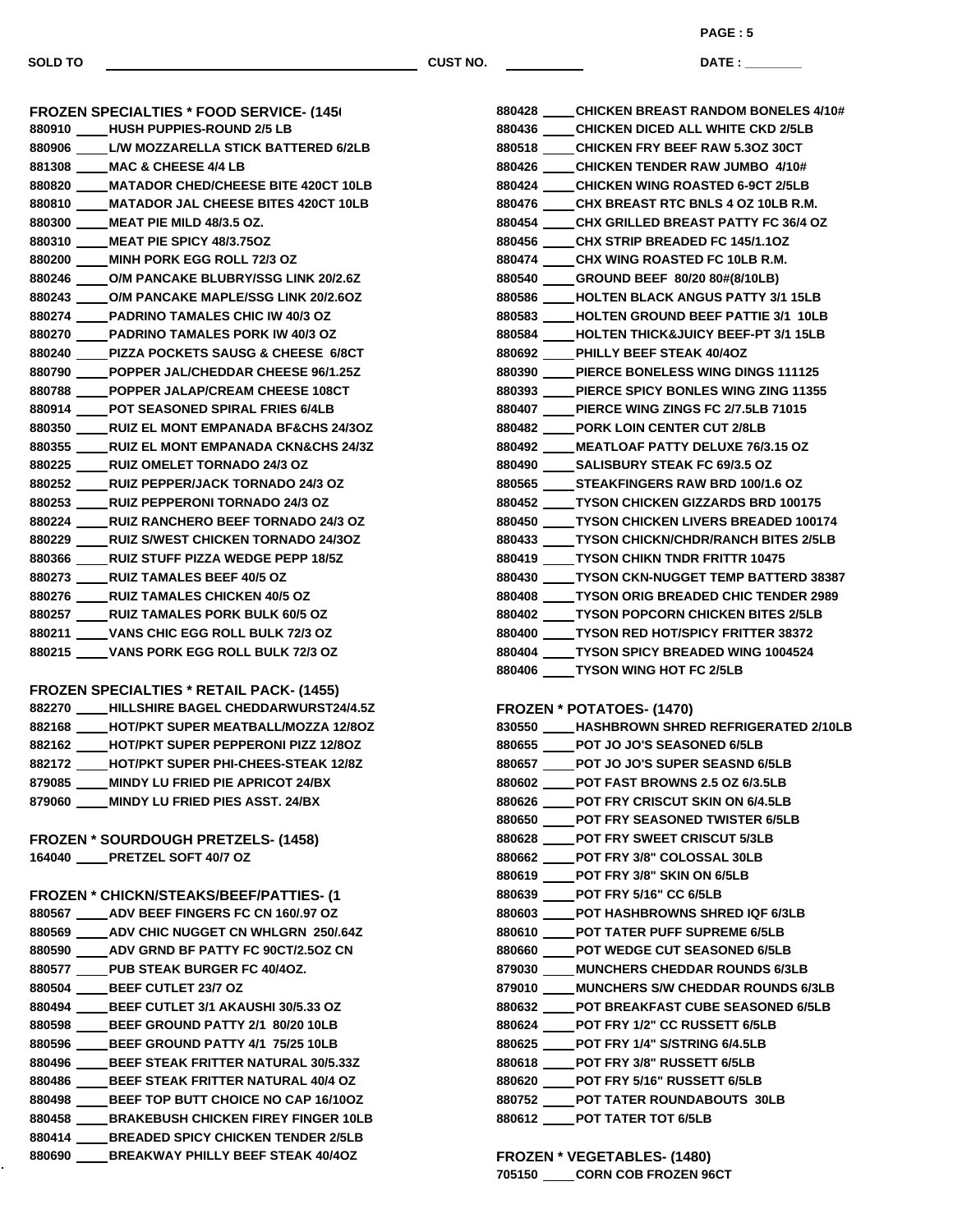**PAGE : 5**

**DATE : \_\_\_\_\_\_\_\_\_\_\_\_\_\_\_**

| <b>FROZEN SPECIALTIES * FOOD SERVICE- (145)</b>                                            |
|--------------------------------------------------------------------------------------------|
| 880910 HUSH PUPPIES-ROUND 2/5 LB                                                           |
| 880906 L/W MOZZARELLA STICK BATTERED 6/2LB                                                 |
| 881308 MAC & CHEESE 4/4 LB                                                                 |
| 880820 _____ MATADOR CHED/CHEESE BITE 420CT 10LB                                           |
| 880810 _____ MATADOR JAL CHEESE BITES 420CT 10LB                                           |
| 880300 MEAT PIE MILD 48/3.5 OZ.                                                            |
| 880310 MEAT PIE SPICY 48/3.750Z                                                            |
| 880200 _____ MINH PORK EGG ROLL 72/3 OZ                                                    |
| 880246 O/M PANCAKE BLUBRY/SSG LINK 20/2.6Z                                                 |
| 880243 O/M PANCAKE MAPLE/SSG LINK 20/2.6OZ                                                 |
| 880274 PADRINO TAMALES CHIC IW 40/3 OZ                                                     |
| 880270 PADRINO TAMALES PORK IW 40/3 OZ                                                     |
| 880240 PIZZA POCKETS SAUSG & CHEESE 6/8CT                                                  |
|                                                                                            |
| 880790 POPPER JAL/CHEDDAR CHEESE 96/1.25Z                                                  |
| 880788 POPPER JALAP/CREAM CHEESE 108CT                                                     |
| 880914 POT SEASONED SPIRAL FRIES 6/4LB                                                     |
| 880350 RUIZ EL MONT EMPANADA BF&CHS 24/3OZ                                                 |
| 880355 RUIZ EL MONT EMPANADA CKN&CHS 24/3Z                                                 |
| 880225 RUIZ OMELET TORNADO 24/3 OZ                                                         |
| 880252 RUIZ PEPPER/JACK TORNADO 24/3 OZ                                                    |
| 880253 RUIZ PEPPERONI TORNADO 24/3 OZ                                                      |
| 880224 RUIZ RANCHERO BEEF TORNADO 24/3 OZ                                                  |
| 880229 RUIZ S/WEST CHICKEN TORNADO 24/3OZ                                                  |
| 880366 RUIZ STUFF PIZZA WEDGE PEPP 18/5Z                                                   |
| 880273 RUIZ TAMALES BEEF 40/5 OZ                                                           |
| 880276 RUIZ TAMALES CHICKEN 40/5 OZ                                                        |
| 880257 RUIZ TAMALES PORK BULK 60/5 OZ                                                      |
| 880211 VANS CHIC EGG ROLL BULK 72/3 OZ                                                     |
| 880215 _____ VANS PORK EGG ROLL BULK 72/3 OZ                                               |
|                                                                                            |
| <b>FROZEN SPECIALTIES * RETAIL PACK- (1455)</b>                                            |
| 882270 ____HILLSHIRE BAGEL CHEDDARWURST24/4.5Z                                             |
| 882168 HOT/PKT SUPER MEATBALL/MOZZA 12/8OZ                                                 |
| 882162 HOT/PKT SUPER PEPPERONI PIZZ 12/80Z                                                 |
| 882172 HOT/PKT SUPER PHI-CHEES-STEAK 12/8Z                                                 |
| 879085 MINDY LU FRIED PIE APRICOT 24/BX                                                    |
| 879060 ____ MINDY LU FRIED PIES ASST. 24/BX                                                |
|                                                                                            |
| <b>FROZEN * SOURDOUGH PRETZELS- (1458)</b>                                                 |
| 164040 _____PRETZEL SOFT 40/7 OZ                                                           |
| <b>FROZEN * CHICKN/STEAKS/BEEF/PATTIES-(1)</b>                                             |
|                                                                                            |
| 880567 ADV BEEF FINGERS FC CN 160/.97 OZ<br>880569 ____ ADV CHIC NUGGET CN WHLGRN 250/.64Z |
| 880590 _____ ADV GRND BF PATTY FC 90CT/2.5OZ CN                                            |
|                                                                                            |
| 880577 PUB STEAK BURGER FC 40/40Z.                                                         |
| 880504 _____ BEEF CUTLET 23/7 OZ<br>880494 ____ BEEF CUTLET 3/1 AKAUSHI 30/5.33 OZ         |
|                                                                                            |
| 880598 ____ BEEF GROUND PATTY 2/1 80/20 10LB                                               |
| 880596 _____ BEEF GROUND PATTY 4/1 75/25 10LB                                              |
| 880496 _____ BEEF STEAK FRITTER NATURAL 30/5.33Z                                           |
| 880486 ____ BEEF STEAK FRITTER NATURAL 40/4 OZ                                             |
| 880498 _____ BEEF TOP BUTT CHOICE NO CAP 16/10OZ                                           |
| 880458 ____ BRAKEBUSH CHICKEN FIREY FINGER 10LB                                            |
| 880414 ____ BREADED SPICY CHICKEN TENDER 2/5LB                                             |
| 880690 _____ BREAKWAY PHILLY BEEF STEAK 40/4OZ                                             |

| 880428 ____ CHICKEN BREAST RANDOM BONELES 4/10#  |
|--------------------------------------------------|
| 880436 ____ CHICKEN DICED ALL WHITE CKD 2/5LB    |
| 880518 CHICKEN FRY BEEF RAW 5.3OZ 30CT           |
| 880426 ____CHICKEN TENDER RAW JUMBO 4/10#        |
| 880424 ____CHICKEN WING ROASTED 6-9CT 2/5LB      |
| 880476 ____CHX BREAST RTC BNLS 4 OZ 10LB R.M.    |
| 880454 CHX GRILLED BREAST PATTY FC 36/4 OZ       |
| 880456 ____CHX STRIP BREADED FC 145/1.1OZ        |
| 880474 ____CHX WING ROASTED FC 10LB R.M.         |
| 880540 ____GROUND BEEF 80/20 80#(8/10LB)         |
| 880586 ____HOLTEN BLACK ANGUS PATTY 3/1 15LB     |
| 880583 ____HOLTEN GROUND BEEF PATTIE 3/1 10LB    |
| 880584 ____HOLTEN THICK&JUICY BEEF-PT 3/1 15LB   |
| 880692 ____ PHILLY BEEF STEAK 40/4OZ             |
| 880390 ____ PIERCE BONELESS WING DINGS 111125    |
| 880393 ____PIERCE SPICY BONLES WING ZING 11355   |
| 880407 ____ PIERCE WING ZINGS FC 2/7.5LB 71015   |
| 880482 _____ PORK LOIN CENTER CUT 2/8LB          |
| 880492 ____ MEATLOAF PATTY DELUXE 76/3.15 OZ     |
| 880490 _____ SALISBURY STEAK FC 69/3.5 OZ        |
| 880565 _____ STEAKFINGERS RAW BRD 100/1.6 OZ     |
| 880452 _____ TYSON CHICKEN GIZZARDS BRD 100175   |
| 880450 ____ TYSON CHICKEN LIVERS BREADED 100174  |
| 880433 ____ TYSON CHICKN/CHDR/RANCH BITES 2/5LB  |
| 880419 _____ TYSON CHIKN TNDR FRITTR 10475       |
| 880430 ____TYSON CKN-NUGGET TEMP BATTERD 38387   |
| 880408 _____ TYSON ORIG BREADED CHIC TENDER 2989 |
| 880402 ____TYSON POPCORN CHICKEN BITES 2/5LB     |
| 880400 _____ TYSON RED HOT/SPICY FRITTER 38372   |
| 880404 ____TYSON SPICY BREADED WING 1004524      |
| 880406 _____ TYSON WING HOT FC 2/5LB             |
|                                                  |
| <b>FROZEN * POTATOES- (1470)</b>                 |
| 830550 ____ HASHBROWN SHRED REFRIGERATED 2/10LB  |
| 880655 POT JO JO'S SEASONED 6/5LB                |
| 880657 ____POT JO JO'S SUPER SEASND 6/5LB        |
| 880602 POT FAST BROWNS 2.5 OZ 6/3.5LB            |
|                                                  |

- **POT FRY CRISCUT SKIN ON 6/4.5LB POT FRY SEASONED TWISTER 6/5LB**
- **POT FRY SWEET CRISCUT 5/3LB**
- **POT FRY 3/8" COLOSSAL 30LB**
- **POT FRY 3/8" SKIN ON 6/5LB**
- **POT FRY 5/16" CC 6/5LB**
- **POT HASHBROWNS SHRED IQF 6/3LB**
- **POT TATER PUFF SUPREME 6/5LB**
- **POT WEDGE CUT SEASONED 6/5LB**
- **MUNCHERS CHEDDAR ROUNDS 6/3LB**
- **MUNCHERS S/W CHEDDAR ROUNDS 6/3LB**
- **POT BREAKFAST CUBE SEASONED 6/5LB**
- **POT FRY 1/2" CC RUSSETT 6/5LB**
- **POT FRY 1/4" S/STRING 6/4.5LB**
- **POT FRY 3/8" RUSSETT 6/5LB**
- **POT FRY 5/16" RUSSETT 6/5LB**
- **POT TATER ROUNDABOUTS 30LB**
- **POT TATER TOT 6/5LB**

**FROZEN \* VEGETABLES- (1480)**

**CORN COB FROZEN 96CT**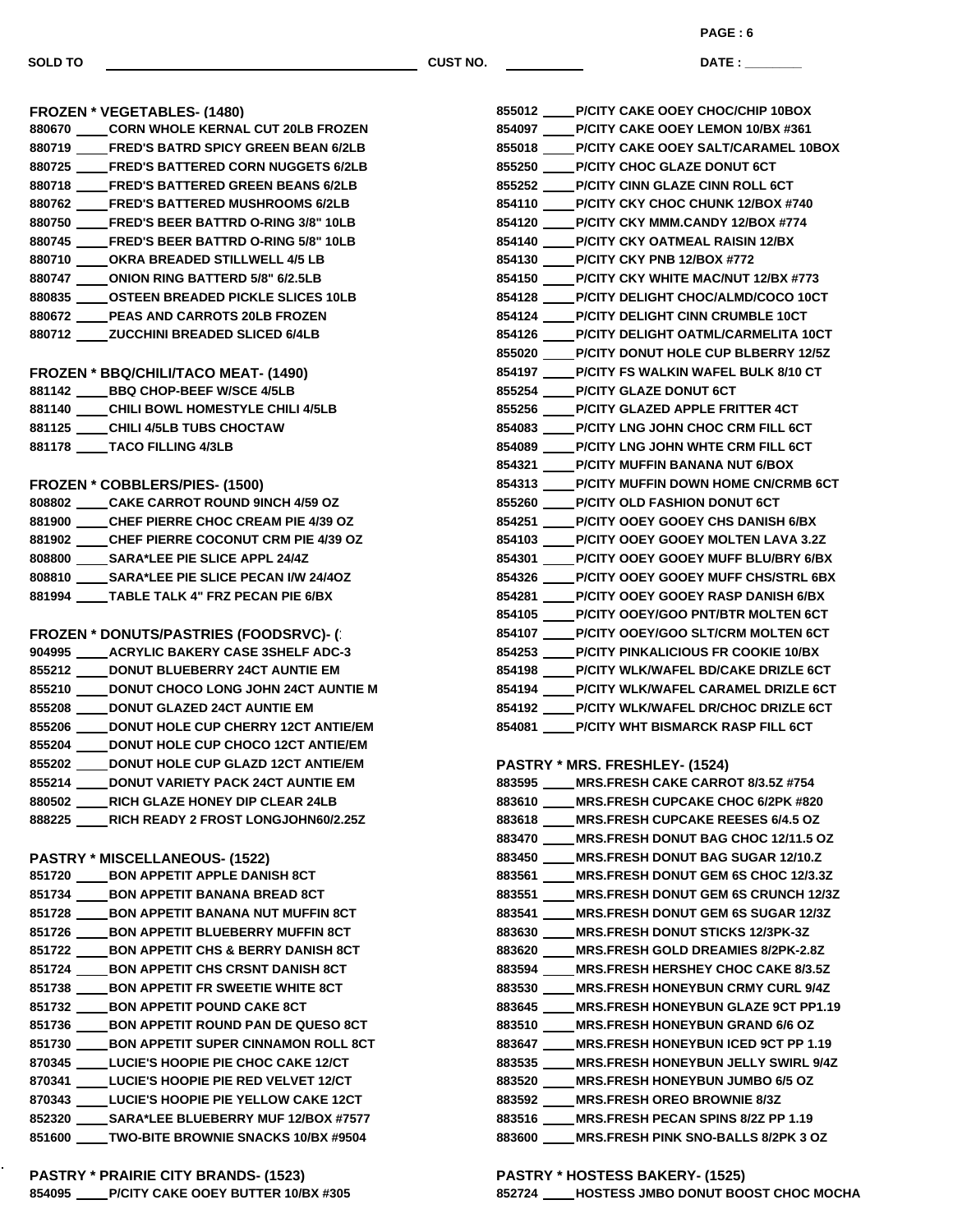**FROZEN \* VEGETABLES- (1480)**

 **CORN WHOLE KERNAL CUT 20LB FROZEN FRED'S BATRD SPICY GREEN BEAN 6/2LB FRED'S BATTERED CORN NUGGETS 6/2LB FRED'S BATTERED GREEN BEANS 6/2LB FRED'S BATTERED MUSHROOMS 6/2LB FRED'S BEER BATTRD O-RING 3/8" 10LB FRED'S BEER BATTRD O-RING 5/8" 10LB OKRA BREADED STILLWELL 4/5 LB ONION RING BATTERD 5/8" 6/2.5LB OSTEEN BREADED PICKLE SLICES 10LB PEAS AND CARROTS 20LB FROZEN ZUCCHINI BREADED SLICED 6/4LB**

|        | PAGE:6                                     |
|--------|--------------------------------------------|
| ST NO. | DATE:                                      |
|        | 855012 P/CITY CAKE OOEY CHOC/CHIP 10BOX    |
|        | 854097 P/CITY CAKE OOEY LEMON 10/BX #361   |
|        | 855018 P/CITY CAKE OOEY SALT/CARAMEL 10BOX |
|        | 855250 P/CITY CHOC GLAZE DONUT 6CT         |
|        | 855252 P/CITY CINN GLAZE CINN ROLL 6CT     |
|        | 854110 P/CITY CKY CHOC CHUNK 12/BOX #740   |
|        | 854120 P/CITY CKY MMM.CANDY 12/BOX #774    |
|        | 854140 P/CITY CKY OATMEAL RAISIN 12/BX     |
|        | 854130 P/CITY CKY PNB 12/BOX #772          |
|        | 854150 P/CITY CKY WHITE MAC/NUT 12/BX #773 |
|        | 854128 P/CITY DELIGHT CHOC/ALMD/COCO 10CT  |
|        | 854124 P/CITY DELIGHT CINN CRUMBLE 10CT    |
|        | 854126 P/CITY DELIGHT OATML/CARMELITA 10CT |
|        | 855020 P/CITY DONUT HOLE CUP BLBERRY 12/5Z |
|        | 854197 P/CITY FS WALKIN WAFEL BULK 8/10 CT |
|        | 855254 P/CITY GLAZE DONUT 6CT              |
|        | 855256 P/CITY GLAZED APPLE FRITTER 4CT     |
|        | 854083 P/CITY LNG JOHN CHOC CRM FILL 6CT   |
|        | 854089 P/CITY LNG JOHN WHTE CRM FILL 6CT   |

**FROZEN \* COBBLERS/PIES- (1500) CAKE CARROT ROUND 9INCH 4/59 OZ CHEF PIERRE CHOC CREAM PIE 4/39 OZ CHEF PIERRE COCONUT CRM PIE 4/39 OZ SARA\*LEE PIE SLICE APPL 24/4Z SARA\*LEE PIE SLICE PECAN I/W 24/4OZ TABLE TALK 4" FRZ PECAN PIE 6/BX**

**FROZEN \* BBQ/CHILI/TACO MEAT- (1490) BBQ CHOP-BEEF W/SCE 4/5LB CHILI BOWL HOMESTYLE CHILI 4/5LB**

**CHILI 4/5LB TUBS CHOCTAW**

**TACO FILLING 4/3LB**

**FROZEN \* DONUTS/PASTRIES (FOODSRVC)- (1510) ACRYLIC BAKERY CASE 3SHELF ADC-3 DONUT BLUEBERRY 24CT AUNTIE EM DONUT CHOCO LONG JOHN 24CT AUNTIE M DONUT GLAZED 24CT AUNTIE EM DONUT HOLE CUP CHERRY 12CT ANTIE/EM DONUT HOLE CUP CHOCO 12CT ANTIE/EM DONUT HOLE CUP GLAZD 12CT ANTIE/EM DONUT VARIETY PACK 24CT AUNTIE EM RICH GLAZE HONEY DIP CLEAR 24LB RICH READY 2 FROST LONGJOHN60/2.25Z**

#### **PASTRY \* MISCELLANEOUS- (1522)**

- **BON APPETIT APPLE DANISH 8CT BON APPETIT BANANA BREAD 8CT 851728 \_\_\_\_\_ BON APPETIT BANANA NUT MUFFIN 8CT BON APPETIT BLUEBERRY MUFFIN 8CT BON APPETIT CHS & BERRY DANISH 8CT BON APPETIT CHS CRSNT DANISH 8CT BON APPETIT FR SWEETIE WHITE 8CT BON APPETIT POUND CAKE 8CT BON APPETIT ROUND PAN DE QUESO 8CT** 851730 \_\_\_\_\_ BON APPETIT SUPER CINNAMON ROLL 8CT **LUCIE'S HOOPIE PIE CHOC CAKE 12/CT LUCIE'S HOOPIE PIE RED VELVET 12/CT LUCIE'S HOOPIE PIE YELLOW CAKE 12CT SARA\*LEE BLUEBERRY MUF 12/BOX #7577 TWO-BITE BROWNIE SNACKS 10/BX #9504**
- **PASTRY \* PRAIRIE CITY BRANDS- (1523) P/CITY CAKE OOEY BUTTER 10/BX #305**

 **P/CITY WHT BISMARCK RASP FILL 6CT PASTRY \* MRS. FRESHLEY- (1524) MRS.FRESH CAKE CARROT 8/3.5Z #754 MRS.FRESH CUPCAKE CHOC 6/2PK #820 MRS.FRESH CUPCAKE REESES 6/4.5 OZ MRS.FRESH DONUT BAG CHOC 12/11.5 OZ MRS.FRESH DONUT BAG SUGAR 12/10.Z MRS.FRESH DONUT GEM 6S CHOC 12/3.3Z MRS.FRESH DONUT GEM 6S CRUNCH 12/3Z MRS.FRESH DONUT GEM 6S SUGAR 12/3Z MRS.FRESH DONUT STICKS 12/3PK-3Z MRS.FRESH GOLD DREAMIES 8/2PK-2.8Z MRS.FRESH HERSHEY CHOC CAKE 8/3.5Z MRS.FRESH HONEYBUN CRMY CURL 9/4Z MRS.FRESH HONEYBUN GLAZE 9CT PP1.19 MRS.FRESH HONEYBUN GRAND 6/6 OZ MRS.FRESH HONEYBUN ICED 9CT PP 1.19 MRS.FRESH HONEYBUN JELLY SWIRL 9/4Z MRS.FRESH HONEYBUN JUMBO 6/5 OZ MRS.FRESH OREO BROWNIE 8/3Z MRS.FRESH PECAN SPINS 8/2Z PP 1.19 MRS.FRESH PINK SNO-BALLS 8/2PK 3 OZ**

 **P/CITY MUFFIN BANANA NUT 6/BOX P/CITY MUFFIN DOWN HOME CN/CRMB 6CT**

 **P/CITY OLD FASHION DONUT 6CT P/CITY OOEY GOOEY CHS DANISH 6/BX P/CITY OOEY GOOEY MOLTEN LAVA 3.2Z P/CITY OOEY GOOEY MUFF BLU/BRY 6/BX P/CITY OOEY GOOEY MUFF CHS/STRL 6BX P/CITY OOEY GOOEY RASP DANISH 6/BX P/CITY OOEY/GOO PNT/BTR MOLTEN 6CT P/CITY OOEY/GOO SLT/CRM MOLTEN 6CT P/CITY PINKALICIOUS FR COOKIE 10/BX P/CITY WLK/WAFEL BD/CAKE DRIZLE 6CT P/CITY WLK/WAFEL CARAMEL DRIZLE 6CT P/CITY WLK/WAFEL DR/CHOC DRIZLE 6CT**

### **PASTRY \* HOSTESS BAKERY- (1525) HOSTESS JMBO DONUT BOOST CHOC MOCHA**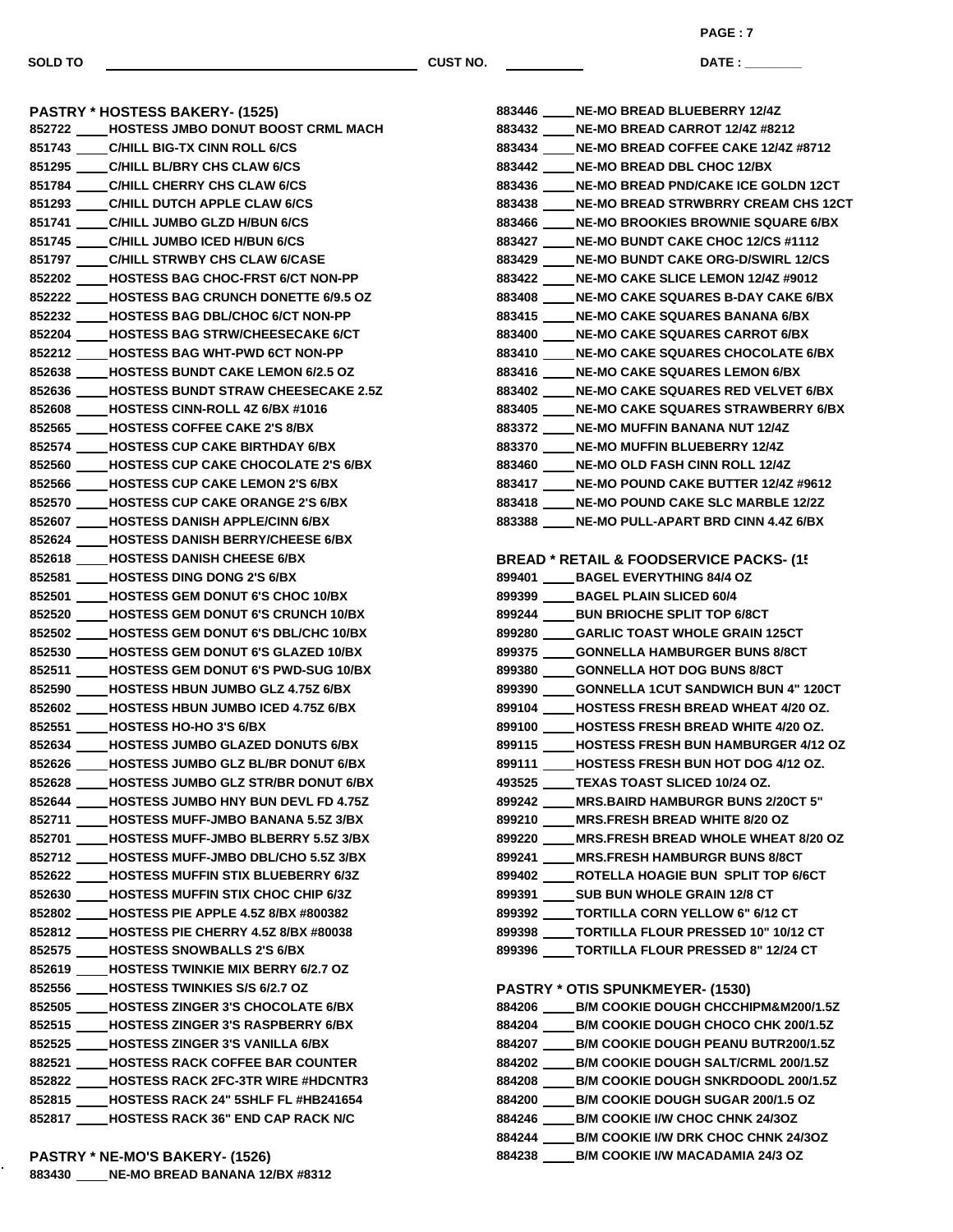**DATE : \_\_\_\_\_\_\_\_\_\_\_\_\_\_\_ PAGE : 7**

**PASTRY \* HOSTESS BAKERY- (1525) HOSTESS JMBO DONUT BOOST CRML MACH C/HILL BIG-TX CINN ROLL 6/CS C/HILL BL/BRY CHS CLAW 6/CS C/HILL CHERRY CHS CLAW 6/CS C/HILL DUTCH APPLE CLAW 6/CS C/HILL JUMBO GLZD H/BUN 6/CS C/HILL JUMBO ICED H/BUN 6/CS C/HILL STRWBY CHS CLAW 6/CASE HOSTESS BAG CHOC-FRST 6/CT NON-PP HOSTESS BAG CRUNCH DONETTE 6/9.5 OZ HOSTESS BAG DBL/CHOC 6/CT NON-PP HOSTESS BAG STRW/CHEESECAKE 6/CT HOSTESS BAG WHT-PWD 6CT NON-PP HOSTESS BUNDT CAKE LEMON 6/2.5 OZ HOSTESS BUNDT STRAW CHEESECAKE 2.5Z HOSTESS CINN-ROLL 4Z 6/BX #1016 HOSTESS COFFEE CAKE 2'S 8/BX HOSTESS CUP CAKE BIRTHDAY 6/BX HOSTESS CUP CAKE CHOCOLATE 2'S 6/BX HOSTESS CUP CAKE LEMON 2'S 6/BX HOSTESS CUP CAKE ORANGE 2'S 6/BX HOSTESS DANISH APPLE/CINN 6/BX HOSTESS DANISH BERRY/CHEESE 6/BX HOSTESS DANISH CHEESE 6/BX HOSTESS DING DONG 2'S 6/BX HOSTESS GEM DONUT 6'S CHOC 10/BX HOSTESS GEM DONUT 6'S CRUNCH 10/BX HOSTESS GEM DONUT 6'S DBL/CHC 10/BX HOSTESS GEM DONUT 6'S GLAZED 10/BX HOSTESS GEM DONUT 6'S PWD-SUG 10/BX HOSTESS HBUN JUMBO GLZ 4.75Z 6/BX HOSTESS HBUN JUMBO ICED 4.75Z 6/BX HOSTESS HO-HO 3'S 6/BX HOSTESS JUMBO GLAZED DONUTS 6/BX HOSTESS JUMBO GLZ BL/BR DONUT 6/BX HOSTESS JUMBO GLZ STR/BR DONUT 6/BX HOSTESS JUMBO HNY BUN DEVL FD 4.75Z HOSTESS MUFF-JMBO BANANA 5.5Z 3/BX HOSTESS MUFF-JMBO BLBERRY 5.5Z 3/BX HOSTESS MUFF-JMBO DBL/CHO 5.5Z 3/BX HOSTESS MUFFIN STIX BLUEBERRY 6/3Z HOSTESS MUFFIN STIX CHOC CHIP 6/3Z HOSTESS PIE APPLE 4.5Z 8/BX #800382 HOSTESS PIE CHERRY 4.5Z 8/BX #80038 HOSTESS SNOWBALLS 2'S 6/BX HOSTESS TWINKIE MIX BERRY 6/2.7 OZ HOSTESS TWINKIES S/S 6/2.7 OZ HOSTESS ZINGER 3'S CHOCOLATE 6/BX HOSTESS ZINGER 3'S RASPBERRY 6/BX HOSTESS ZINGER 3'S VANILLA 6/BX HOSTESS RACK COFFEE BAR COUNTER HOSTESS RACK 2FC-3TR WIRE #HDCNTR3 HOSTESS RACK 24" 5SHLF FL #HB241654 HOSTESS RACK 36" END CAP RACK N/C NE-MO BREAD BLUEBERRY 12/4Z**

**PASTRY \* NE-MO'S BAKERY- (1526) NE-MO BREAD BANANA 12/BX #8312**

|  | 883432 ____ NE-MO BREAD CARROT 12/4Z #8212          |
|--|-----------------------------------------------------|
|  | 883434 ____ NE-MO BREAD COFFEE CAKE 12/4Z #8712     |
|  | 883442 ____ NE-MO BREAD DBL CHOC 12/BX              |
|  | 883436 ____ NE-MO BREAD PND/CAKE ICE GOLDN 12CT     |
|  | 883438 ____ NE-MO BREAD STRWBRRY CREAM CHS 12CT     |
|  | 883466 ____ NE-MO BROOKIES BROWNIE SQUARE 6/BX      |
|  | 883427 ____ NE-MO BUNDT CAKE CHOC 12/CS #1112       |
|  | 883429 ____ NE-MO BUNDT CAKE ORG-D/SWIRL 12/CS      |
|  | 883422 ____ NE-MO CAKE SLICE LEMON 12/4Z #9012      |
|  | 883408 ____ NE-MO CAKE SQUARES B-DAY CAKE 6/BX      |
|  | 883415 ____ NE-MO CAKE SQUARES BANANA 6/BX          |
|  | 883400 ____ NE-MO CAKE SQUARES CARROT 6/BX          |
|  | 883410 ____ NE-MO CAKE SQUARES CHOCOLATE 6/BX       |
|  | 883416 ____ NE-MO CAKE SQUARES LEMON 6/BX           |
|  | 883402 ____ NE-MO CAKE SQUARES RED VELVET 6/BX      |
|  | 883405 ____ NE-MO CAKE SQUARES STRAWBERRY 6/BX      |
|  | 883372 ____ NE-MO MUFFIN BANANA NUT 12/4Z           |
|  | 883370 ____ NE-MO MUFFIN BLUEBERRY 12/4Z            |
|  | 883460 ____ NE-MO OLD FASH CINN ROLL 12/4Z          |
|  | 883417 ____ NE-MO POUND CAKE BUTTER 12/4Z #9612     |
|  | 883418 ____ NE-MO POUND CAKE SLC MARBLE 12/2Z       |
|  | 883388 ____ NE-MO PULL-APART BRD CINN 4.4Z 6/BX     |
|  |                                                     |
|  | <b>BREAD * RETAIL &amp; FOODSERVICE PACKS- (15)</b> |
|  | 899401 _____ BAGEL EVERYTHING 84/4 OZ               |
|  | 899399 _____ BAGEL PLAIN SLICED 60/4                |
|  | 899244 _____ BUN BRIOCHE SPLIT TOP 6/8CT            |
|  | 899280 _____ GARLIC TOAST WHOLE GRAIN 125CT         |
|  | 899375 _____ GONNELLA HAMBURGER BUNS 8/8CT          |
|  | 899380 _____ GONNELLA HOT DOG BUNS 8/8CT            |
|  | 899390 ____ GONNELLA 1CUT SANDWICH BUN 4" 120CT     |
|  | 899104 HOSTESS FRESH BREAD WHEAT 4/20 OZ.           |
|  | 899100 ____ HOSTESS FRESH BREAD WHITE 4/20 OZ.      |
|  | 899115 ____ HOSTESS FRESH BUN HAMBURGER 4/12 OZ     |
|  | 899111 ____ HOSTESS FRESH BUN HOT DOG 4/12 OZ.      |
|  | 493525 _____ TEXAS TOAST SLICED 10/24 OZ.           |
|  | 899242 ____ MRS.BAIRD HAMBURGR BUNS 2/20CT 5"       |
|  | 899210 ____ MRS.FRESH BREAD WHITE 8/20 OZ           |
|  | 899220 ____ MRS.FRESH BREAD WHOLE WHEAT 8/20 OZ     |
|  | 899241 ____ MRS.FRESH HAMBURGR BUNS 8/8CT           |
|  | 899402 ____ ROTELLA HOAGIE BUN SPLIT TOP 6/6CT      |
|  | 899391 _____ SUB BUN WHOLE GRAIN 12/8 CT            |
|  | 899392 _____ TORTILLA CORN YELLOW 6" 6/12 CT        |
|  | 899398 ____TORTILLA FLOUR PRESSED 10" 10/12 CT      |
|  | 899396 _____ TORTILLA FLOUR PRESSED 8" 12/24 CT     |
|  |                                                     |
|  |                                                     |

**PASTRY \* OTIS SPUNKMEYER- (1530)**

| 884206<br><b>B/M COOKIE DOUGH CHCCHIPM&amp;M200/1.5Z</b> |
|----------------------------------------------------------|
| <b>B/M COOKIE DOUGH CHOCO CHK 200/1.5Z</b><br>884204     |
| <b>B/M COOKIE DOUGH PEANU BUTR200/1.5Z</b><br>884207     |
| <b>B/M COOKIE DOUGH SALT/CRML 200/1.5Z</b><br>884202     |
| B/M COOKIE DOUGH SNKRDOODL 200/1.5Z<br>884208            |
| <b>B/M COOKIE DOUGH SUGAR 200/1.5 OZ</b><br>884200       |
| <b>B/M COOKIE I/W CHOC CHNK 24/30Z</b><br>884246         |
| B/M COOKIE I/W DRK CHOC CHNK 24/3OZ<br>884244            |
| <b>B/M COOKIE I/W MACADAMIA 24/3 OZ</b><br>884238        |
|                                                          |